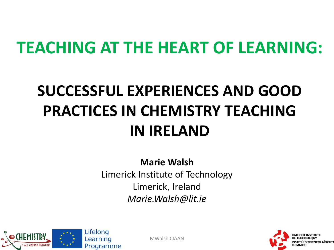## **TEACHING AT THE HEART OF LEARNING:**

## **SUCCESSFUL EXPERIENCES AND GOOD PRACTICES IN CHEMISTRY TEACHING IN IRELAND**

**Marie Walsh** Limerick Institute of Technology Limerick, Ireland *Marie.Walsh@lit.ie*



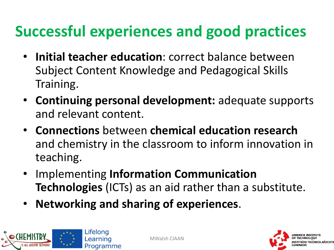### **Successful experiences and good practices**

- **Initial teacher education**: correct balance between Subject Content Knowledge and Pedagogical Skills Training.
- **Continuing personal development:** adequate supports and relevant content.
- **Connections** between **chemical education research**  and chemistry in the classroom to inform innovation in teaching.
- Implementing **Information Communication Technologies** (ICTs) as an aid rather than a substitute.
- **Networking and sharing of experiences**.



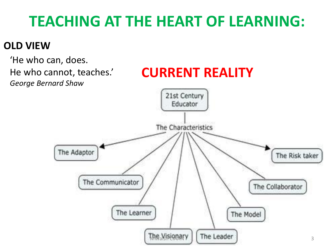### **TEACHING AT THE HEART OF LEARNING:**

#### **OLD VIEW**

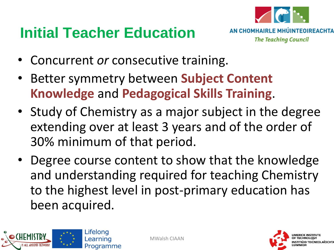### **Initial Teacher Education**



- Concurrent *or* consecutive training.
- Better symmetry between **Subject Content Knowledge** and **Pedagogical Skills Training**.
- Study of Chemistry as a major subject in the degree extending over at least 3 years and of the order of 30% minimum of that period.
- Degree course content to show that the knowledge and understanding required for teaching Chemistry to the highest level in post-primary education has been acquired.



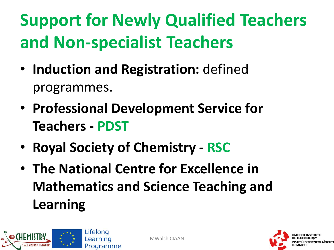## **Support for Newly Qualified Teachers and Non-specialist Teachers**

- **Induction and Registration:** defined programmes.
- **Professional Development Service for Teachers - PDST**
- **Royal Society of Chemistry - RSC**
- **The National Centre for Excellence in Mathematics and Science Teaching and Learning**



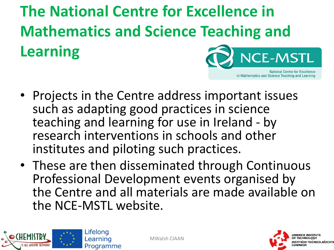**The National Centre for Excellence in Mathematics and Science Teaching and Learning CE-MSTL** 

- Projects in the Centre address important issues such as adapting good practices in science teaching and learning for use in Ireland - by research interventions in schools and other institutes and piloting such practices.
- These are then disseminated through Continuous Professional Development events organised by the Centre and all materials are made available on the NCE-MSTL website.





**National Centre for Excellence** 

in Mathematics and Science Teaching and Learning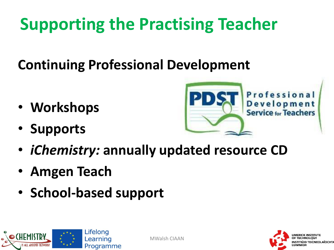## **Supporting the Practising Teacher**

**Continuing Professional Development**

- **Workshops**
- **Supports**



- *iChemistry:* **annually updated resource CD**
- **Amgen Teach**
- **School-based support**



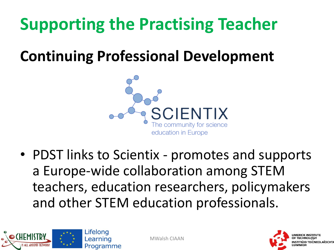## **Supporting the Practising Teacher**

### **Continuing Professional Development**



• PDST links to Scientix - promotes and supports a Europe-wide collaboration among STEM teachers, education researchers, policymakers and other STEM education professionals.



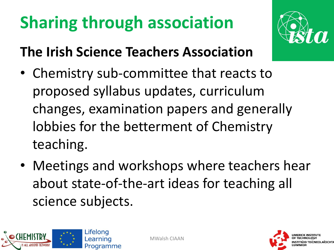## **Sharing through association**



#### **The Irish Science Teachers Association**

- Chemistry sub-committee that reacts to proposed syllabus updates, curriculum changes, examination papers and generally lobbies for the betterment of Chemistry teaching.
- Meetings and workshops where teachers hear about state-of-the-art ideas for teaching all science subjects.



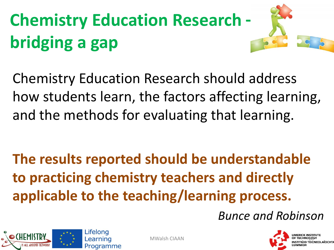# **Chemistry Education Research** bridging a gap



**Chemistry Education Research should address** how students learn, the factors affecting learning, and the methods for evaluating that learning.

The results reported should be understandable to practicing chemistry teachers and directly applicable to the teaching/learning process.

**Bunce and Robinson** 



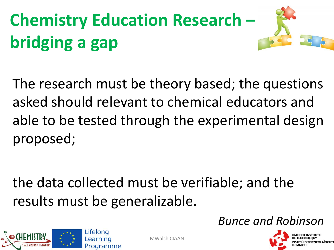# **Chemistry Education Research** bridging a gap



the data collected must be verifiable; and the results must be generalizable.





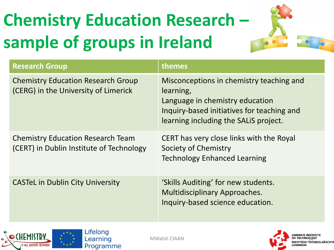# **Chemistry Education Research – sample of groups in Ireland**



| <b>Research Group</b>                                                                | themes                                                                                                                                                                          |
|--------------------------------------------------------------------------------------|---------------------------------------------------------------------------------------------------------------------------------------------------------------------------------|
| <b>Chemistry Education Research Group</b><br>(CERG) in the University of Limerick    | Misconceptions in chemistry teaching and<br>learning,<br>Language in chemistry education<br>Inquiry-based initiatives for teaching and<br>learning including the SALIS project. |
| <b>Chemistry Education Research Team</b><br>(CERT) in Dublin Institute of Technology | CERT has very close links with the Royal<br>Society of Chemistry<br><b>Technology Enhanced Learning</b>                                                                         |
| <b>CASTeL in Dublin City University</b>                                              | 'Skills Auditing' for new students.<br><b>Multidisciplinary Approaches.</b><br>Inquiry-based science education.                                                                 |



**IMERICK INSTITUTE** MWalsh CIAAN **12 OF TECHNOLOGISY OF TECHNOLOGISY**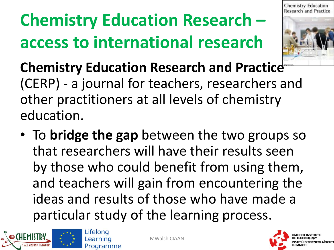# **Chemistry Education Research – access to international research**



**Chemistry Education Research and Practice**  (CERP) - a journal for teachers, researchers and other practitioners at all levels of chemistry education.

• To **bridge the gap** between the two groups so that researchers will have their results seen by those who could benefit from using them, and teachers will gain from encountering the ideas and results of those who have made a particular study of the learning process.



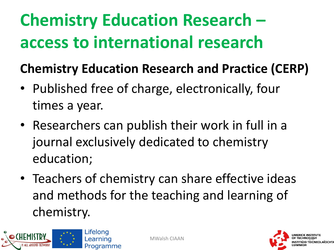## **Chemistry Education Research – access to international research**

#### **Chemistry Education Research and Practice (CERP)**

- Published free of charge, electronically, four times a year.
- Researchers can publish their work in full in a journal exclusively dedicated to chemistry education;
- Teachers of chemistry can share effective ideas and methods for the teaching and learning of chemistry.



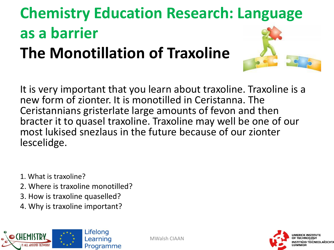### **Chemistry Education Research: Language as a barrier The Monotillation of Traxoline**

It is very important that you learn about traxoline. Traxoline is a new form of zionter. It is monotilled in Ceristanna. The Ceristannians gristerlate large amounts of fevon and then bracter it to quasel traxoline. Traxoline may well be one of our most lukised snezlaus in the future because of our zionter lescelidge.

- 1. What is traxoline?
- 2. Where is traxoline monotilled?
- 3. How is traxoline quaselled?
- 4. Why is traxoline important?



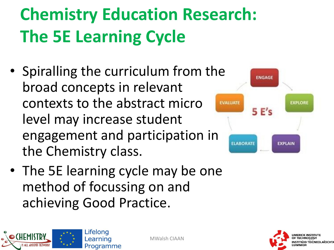# **Chemistry Education Research: The 5E Learning Cycle**

- Spiralling the curriculum from the broad concepts in relevant contexts to the abstract micro level may increase student engagement and participation in the Chemistry class.
- The 5E learning cycle may be one method of focussing on and achieving Good Practice.

Lifelona Learning Programme





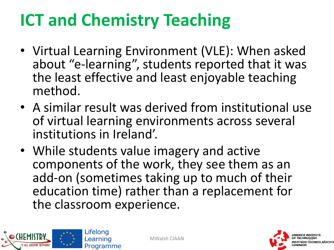## **ICT and Chemistry Teaching**

- Virtual Learning Environment (VLE): When asked about "e-learning", students reported that it was the least effective and least enjoyable teaching method.
- A similar result was derived from institutional use of virtual learning environments across several institutions in Ireland'.
- While students value imagery and active components of the work, they see them as an add-on (sometimes taking up to much of their education time) rather than a replacement for the classroom experience.



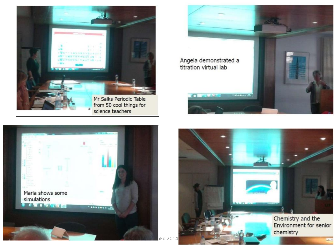





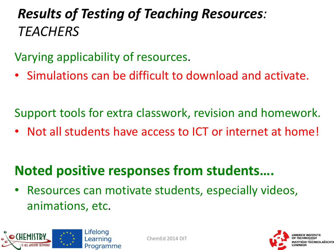#### *Results of Testing of Teaching Resources: TEACHERS*

Varying applicability of resources.

• Simulations can be difficult to download and activate.

Support tools for extra classwork, revision and homework.

• Not all students have access to ICT or internet at home!

#### **Noted positive responses from students….**

Resources can motivate students, especially videos, animations, etc.



ChemEd 2014 DIT

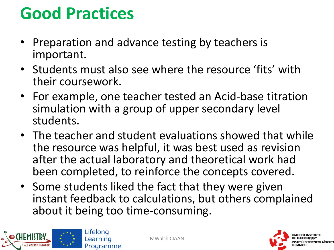## **Good Practices**

- Preparation and advance testing by teachers is important.
- Students must also see where the resource 'fits' with their coursework.
- For example, one teacher tested an Acid-base titration simulation with a group of upper secondary level students.
- The teacher and student evaluations showed that while the resource was helpful, it was best used as revision after the actual laboratory and theoretical work had been completed, to reinforce the concepts covered.
- Some students liked the fact that they were given instant feedback to calculations, but others complained about it being too time-consuming.



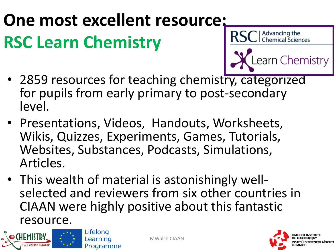# **One most excellent resource: RSC Learn Chemistry**



- 2859 resources for teaching chemistry, categorized for pupils from early primary to post-secondary level.
- Presentations, Videos, Handouts, Worksheets, Wikis, Quizzes, Experiments, Games, Tutorials, Websites, Substances, Podcasts, Simulations, Articles.
- This wealth of material is astonishingly wellselected and reviewers from six other countries in CIAAN were highly positive about this fantastic resource.



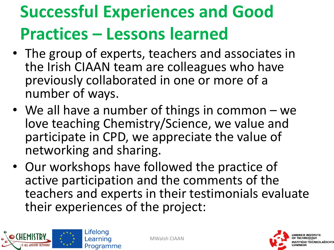## **Successful Experiences and Good Practices – Lessons learned**

- The group of experts, teachers and associates in the Irish CIAAN team are colleagues who have previously collaborated in one or more of a number of ways.
- We all have a number of things in common we love teaching Chemistry/Science, we value and participate in CPD, we appreciate the value of networking and sharing.
- Our workshops have followed the practice of active participation and the comments of the teachers and experts in their testimonials evaluate their experiences of the project:



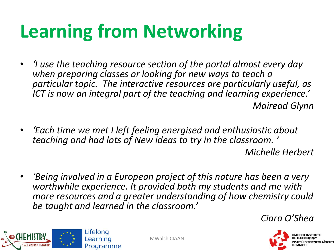# **Learning from Networking**

- *'I use the teaching resource section of the portal almost every day when preparing classes or looking for new ways to teach a particular topic. The interactive resources are particularly useful, as ICT is now an integral part of the teaching and learning experience.' Mairead Glynn*
- *'Each time we met I left feeling energised and enthusiastic about teaching and had lots of New ideas to try in the classroom. '*

*Michelle Herbert*

• *'Being involved in a European project of this nature has been a very worthwhile experience. It provided both my students and me with more resources and a greater understanding of how chemistry could be taught and learned in the classroom.'*







Lifelona Learning Programme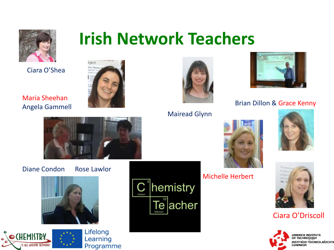

## **Irish Network Teachers**

Ciara O'Shea



Maria Sheehan Angela Gammell



#### Diane Condon Rose Lawlor











Mairead Glynn



#### Brian Dillon & Grace Kenny



Michelle Herbert





#### Ciara O'Driscoll

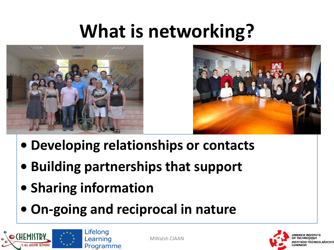## **What is networking?**





- **• Developing relationships or contacts**
- **• Building partnerships that support**
- **• Sharing information**
- **• On-going and reciprocal in nature**